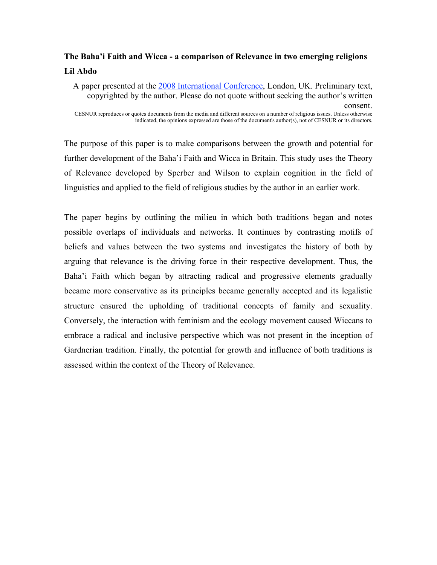# **The Baha'i Faith and Wicca - a comparison of Relevance in two emerging religions Lil Abdo**

The purpose of this paper is to make comparisons between the growth and potential for further development of the Baha'i Faith and Wicca in Britain. This study uses the Theory of Relevance developed by Sperber and Wilson to explain cognition in the field of linguistics and applied to the field of religious studies by the author in an earlier work.

The paper begins by outlining the milieu in which both traditions began and notes possible overlaps of individuals and networks. It continues by contrasting motifs of beliefs and values between the two systems and investigates the history of both by arguing that relevance is the driving force in their respective development. Thus, the Baha'i Faith which began by attracting radical and progressive elements gradually became more conservative as its principles became generally accepted and its legalistic structure ensured the upholding of traditional concepts of family and sexuality. Conversely, the interaction with feminism and the ecology movement caused Wiccans to embrace a radical and inclusive perspective which was not present in the inception of Gardnerian tradition. Finally, the potential for growth and influence of both traditions is assessed within the context of the Theory of Relevance.

A paper presented at the 2008 International Conference, London, UK. Preliminary text, copyrighted by the author. Please do not quote without seeking the author's written consent. CESNUR reproduces or quotes documents from the media and different sources on a number of religious issues. Unless otherwise indicated, the opinions expressed are those of the document's author(s), not of CESNUR or its directors.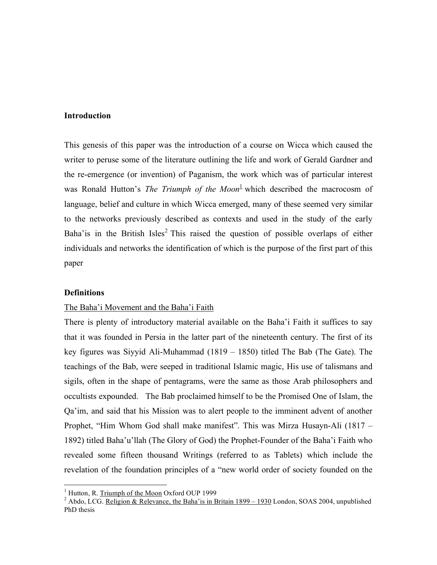#### **Introduction**

This genesis of this paper was the introduction of a course on Wicca which caused the writer to peruse some of the literature outlining the life and work of Gerald Gardner and the re-emergence (or invention) of Paganism, the work which was of particular interest was Ronald Hutton's *The Triumph of the Moon* 1 which described the macrocosm of language, belief and culture in which Wicca emerged, many of these seemed very similar to the networks previously described as contexts and used in the study of the early Baha'is in the British Isles<sup>2</sup> This raised the question of possible overlaps of either individuals and networks the identification of which is the purpose of the first part of this paper

#### **Definitions**

#### The Baha'i Movement and the Baha'i Faith

There is plenty of introductory material available on the Baha'i Faith it suffices to say that it was founded in Persia in the latter part of the nineteenth century. The first of its key figures was Siyyid Ali-Muhammad (1819 – 1850) titled The Bab (The Gate). The teachings of the Bab, were seeped in traditional Islamic magic, His use of talismans and sigils, often in the shape of pentagrams, were the same as those Arab philosophers and occultists expounded. The Bab proclaimed himself to be the Promised One of Islam, the Qa'im, and said that his Mission was to alert people to the imminent advent of another Prophet, "Him Whom God shall make manifest". This was Mirza Husayn-Ali (1817 – 1892) titled Baha'u'llah (The Glory of God) the Prophet-Founder of the Baha'i Faith who revealed some fifteen thousand Writings (referred to as Tablets) which include the revelation of the foundation principles of a "new world order of society founded on the

<sup>&</sup>lt;sup>1</sup> Hutton, R. Triumph of the Moon Oxford OUP 1999<br><sup>2</sup> Abdo, LCG. Religion & Relevance, the Baha'is in Britain 1899 – <u>1930</u> London, SOAS 2004, unpublished PhD thesis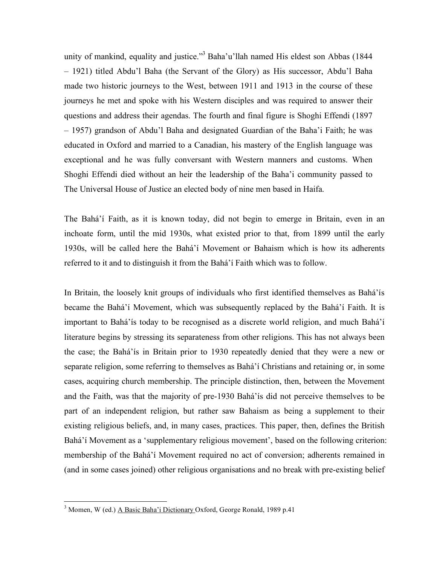unity of mankind, equality and justice."<sup>3</sup> Baha'u'llah named His eldest son Abbas (1844 – 1921) titled Abdu'l Baha (the Servant of the Glory) as His successor, Abdu'l Baha made two historic journeys to the West, between 1911 and 1913 in the course of these journeys he met and spoke with his Western disciples and was required to answer their questions and address their agendas. The fourth and final figure is Shoghi Effendi (1897 – 1957) grandson of Abdu'l Baha and designated Guardian of the Baha'i Faith; he was educated in Oxford and married to a Canadian, his mastery of the English language was exceptional and he was fully conversant with Western manners and customs. When Shoghi Effendi died without an heir the leadership of the Baha'i community passed to The Universal House of Justice an elected body of nine men based in Haifa.

The Bahá'í Faith, as it is known today, did not begin to emerge in Britain, even in an inchoate form, until the mid 1930s, what existed prior to that, from 1899 until the early 1930s, will be called here the Bahá'í Movement or Bahaism which is how its adherents referred to it and to distinguish it from the Bahá'í Faith which was to follow.

In Britain, the loosely knit groups of individuals who first identified themselves as Bahá'ís became the Bahá'í Movement, which was subsequently replaced by the Bahá'í Faith. It is important to Bahá'ís today to be recognised as a discrete world religion, and much Bahá'í literature begins by stressing its separateness from other religions. This has not always been the case; the Bahá'ís in Britain prior to 1930 repeatedly denied that they were a new or separate religion, some referring to themselves as Bahá'í Christians and retaining or, in some cases, acquiring church membership. The principle distinction, then, between the Movement and the Faith, was that the majority of pre-1930 Bahá'ís did not perceive themselves to be part of an independent religion, but rather saw Bahaism as being a supplement to their existing religious beliefs, and, in many cases, practices. This paper, then, defines the British Bahá'í Movement as a 'supplementary religious movement', based on the following criterion: membership of the Bahá'í Movement required no act of conversion; adherents remained in (and in some cases joined) other religious organisations and no break with pre-existing belief

 $3$  Momen, W (ed.) A Basic Baha'i Dictionary Oxford, George Ronald, 1989 p.41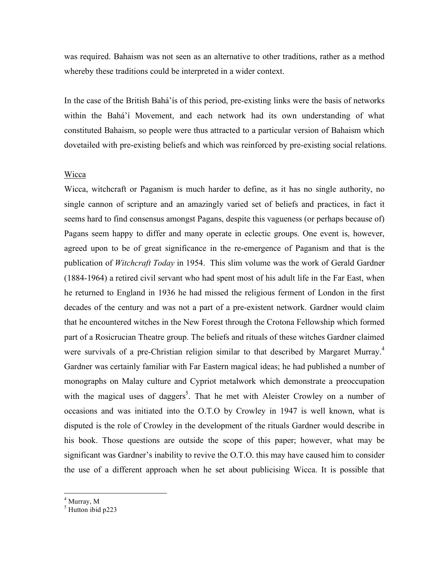was required. Bahaism was not seen as an alternative to other traditions, rather as a method whereby these traditions could be interpreted in a wider context.

In the case of the British Bahá'ís of this period, pre-existing links were the basis of networks within the Bahá'í Movement, and each network had its own understanding of what constituted Bahaism, so people were thus attracted to a particular version of Bahaism which dovetailed with pre-existing beliefs and which was reinforced by pre-existing social relations.

#### Wicca

Wicca, witchcraft or Paganism is much harder to define, as it has no single authority, no single cannon of scripture and an amazingly varied set of beliefs and practices, in fact it seems hard to find consensus amongst Pagans, despite this vagueness (or perhaps because of) Pagans seem happy to differ and many operate in eclectic groups. One event is, however, agreed upon to be of great significance in the re-emergence of Paganism and that is the publication of *Witchcraft Today* in 1954. This slim volume was the work of Gerald Gardner (1884-1964) a retired civil servant who had spent most of his adult life in the Far East, when he returned to England in 1936 he had missed the religious ferment of London in the first decades of the century and was not a part of a pre-existent network. Gardner would claim that he encountered witches in the New Forest through the Crotona Fellowship which formed part of a Rosicrucian Theatre group. The beliefs and rituals of these witches Gardner claimed were survivals of a pre-Christian religion similar to that described by Margaret Murray.<sup>4</sup> Gardner was certainly familiar with Far Eastern magical ideas; he had published a number of monographs on Malay culture and Cypriot metalwork which demonstrate a preoccupation with the magical uses of daggers<sup>5</sup>. That he met with Aleister Crowley on a number of occasions and was initiated into the O.T.O by Crowley in 1947 is well known, what is disputed is the role of Crowley in the development of the rituals Gardner would describe in his book. Those questions are outside the scope of this paper; however, what may be significant was Gardner's inability to revive the O.T.O. this may have caused him to consider the use of a different approach when he set about publicising Wicca. It is possible that

 $<sup>4</sup>$  Murray, M<br> $<sup>5</sup>$  Hutton ibid p223</sup></sup>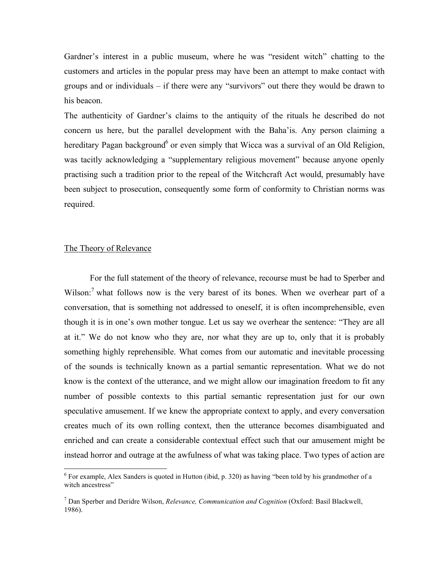Gardner's interest in a public museum, where he was "resident witch" chatting to the customers and articles in the popular press may have been an attempt to make contact with groups and or individuals – if there were any "survivors" out there they would be drawn to his beacon.

The authenticity of Gardner's claims to the antiquity of the rituals he described do not concern us here, but the parallel development with the Baha'is. Any person claiming a hereditary Pagan background<sup>6</sup> or even simply that Wicca was a survival of an Old Religion, was tacitly acknowledging a "supplementary religious movement" because anyone openly practising such a tradition prior to the repeal of the Witchcraft Act would, presumably have been subject to prosecution, consequently some form of conformity to Christian norms was required.

### The Theory of Relevance

For the full statement of the theory of relevance, recourse must be had to Sperber and Wilson:<sup>7</sup> what follows now is the very barest of its bones. When we overhear part of a conversation, that is something not addressed to oneself, it is often incomprehensible, even though it is in one's own mother tongue. Let us say we overhear the sentence: "They are all at it." We do not know who they are, nor what they are up to, only that it is probably something highly reprehensible. What comes from our automatic and inevitable processing of the sounds is technically known as a partial semantic representation. What we do not know is the context of the utterance, and we might allow our imagination freedom to fit any number of possible contexts to this partial semantic representation just for our own speculative amusement. If we knew the appropriate context to apply, and every conversation creates much of its own rolling context, then the utterance becomes disambiguated and enriched and can create a considerable contextual effect such that our amusement might be instead horror and outrage at the awfulness of what was taking place. Two types of action are

 $6$  For example, Alex Sanders is quoted in Hutton (ibid, p. 320) as having "been told by his grandmother of a witch ancestress"

<sup>7</sup> Dan Sperber and Deridre Wilson, *Relevance, Communication and Cognition* (Oxford: Basil Blackwell, 1986).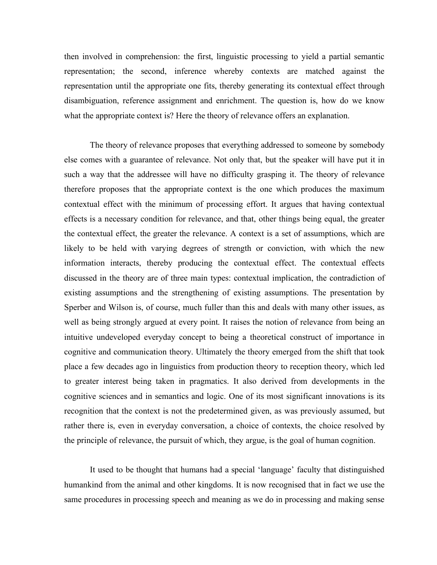then involved in comprehension: the first, linguistic processing to yield a partial semantic representation; the second, inference whereby contexts are matched against the representation until the appropriate one fits, thereby generating its contextual effect through disambiguation, reference assignment and enrichment. The question is, how do we know what the appropriate context is? Here the theory of relevance offers an explanation.

The theory of relevance proposes that everything addressed to someone by somebody else comes with a guarantee of relevance. Not only that, but the speaker will have put it in such a way that the addressee will have no difficulty grasping it. The theory of relevance therefore proposes that the appropriate context is the one which produces the maximum contextual effect with the minimum of processing effort. It argues that having contextual effects is a necessary condition for relevance, and that, other things being equal, the greater the contextual effect, the greater the relevance. A context is a set of assumptions, which are likely to be held with varying degrees of strength or conviction, with which the new information interacts, thereby producing the contextual effect. The contextual effects discussed in the theory are of three main types: contextual implication, the contradiction of existing assumptions and the strengthening of existing assumptions. The presentation by Sperber and Wilson is, of course, much fuller than this and deals with many other issues, as well as being strongly argued at every point. It raises the notion of relevance from being an intuitive undeveloped everyday concept to being a theoretical construct of importance in cognitive and communication theory. Ultimately the theory emerged from the shift that took place a few decades ago in linguistics from production theory to reception theory, which led to greater interest being taken in pragmatics. It also derived from developments in the cognitive sciences and in semantics and logic. One of its most significant innovations is its recognition that the context is not the predetermined given, as was previously assumed, but rather there is, even in everyday conversation, a choice of contexts, the choice resolved by the principle of relevance, the pursuit of which, they argue, is the goal of human cognition.

It used to be thought that humans had a special 'language' faculty that distinguished humankind from the animal and other kingdoms. It is now recognised that in fact we use the same procedures in processing speech and meaning as we do in processing and making sense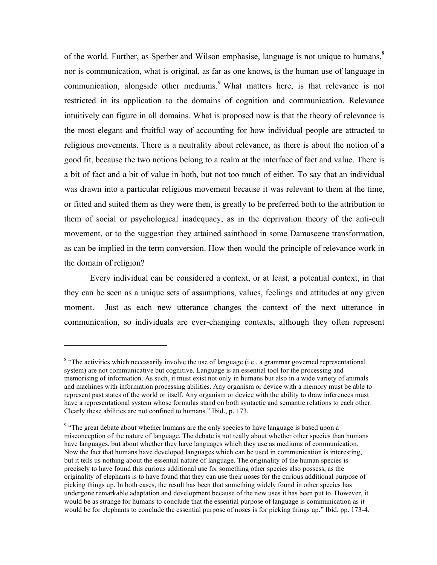of the world. Further, as Sperber and Wilson emphasise, language is not unique to humans,<sup>8</sup> nor is communication, what is original, as far as one knows, is the human use of language in communication, alongside other mediums. <sup>9</sup> What matters here, is that relevance is not restricted in its application to the domains of cognition and communication. Relevance intuitively can figure in all domains. What is proposed now is that the theory of relevance is the most elegant and fruitful way of accounting for how individual people are attracted to religious movements. There is a neutrality about relevance, as there is about the notion of a good fit, because the two notions belong to a realm at the interface of fact and value. There is a bit of fact and a bit of value in both, but not too much of either. To say that an individual was drawn into a particular religious movement because it was relevant to them at the time, or fitted and suited them as they were then, is greatly to be preferred both to the attribution to them of social or psychological inadequacy, as in the deprivation theory of the anti-cult movement, or to the suggestion they attained sainthood in some Damascene transformation, as can be implied in the term conversion. How then would the principle of relevance work in the domain of religion?

Every individual can be considered a context, or at least, a potential context, in that they can be seen as a unique sets of assumptions, values, feelings and attitudes at any given moment. Just as each new utterance changes the context of the next utterance in communication, so individuals are ever-changing contexts, although they often represent

 $\overline{a}$ 

<sup>&</sup>lt;sup>8</sup> "The activities which necessarily involve the use of language (i.e., a grammar governed representational system) are not communicative but cognitive. Language is an essential tool for the processing and memorising of information. As such, it must exist not only in humans but also in a wide variety of animals and machines with information processing abilities. Any organism or device with a memory must be able to represent past states of the world or itself. Any organism or device with the ability to draw inferences must have a representational system whose formulas stand on both syntactic and semantic relations to each other. Clearly these abilities are not confined to humans." Ibid., p. 173.

<sup>&</sup>lt;sup>9</sup> "The great debate about whether humans are the only species to have language is based upon a misconception of the nature of language. The debate is not really about whether other species than humans have languages, but about whether they have languages which they use as mediums of communication. Now the fact that humans have developed languages which can be used in communication is interesting, but it tells us nothing about the essential nature of language. The originality of the human species is precisely to have found this curious additional use for something other species also possess, as the originality of elephants is to have found that they can use their noses for the curious additional purpose of picking things up. In both cases, the result has been that something widely found in other species has undergone remarkable adaptation and development because of the new uses it has been put to. However, it would be as strange for humans to conclude that the essential purpose of language is communication as it would be for elephants to conclude the essential purpose of noses is for picking things up." Ibid*.* pp. 173-4.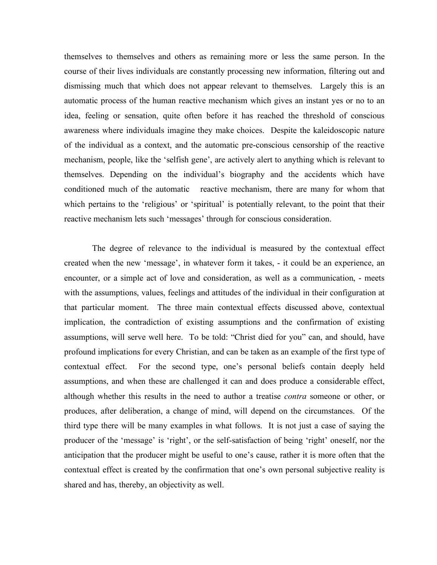themselves to themselves and others as remaining more or less the same person. In the course of their lives individuals are constantly processing new information, filtering out and dismissing much that which does not appear relevant to themselves. Largely this is an automatic process of the human reactive mechanism which gives an instant yes or no to an idea, feeling or sensation, quite often before it has reached the threshold of conscious awareness where individuals imagine they make choices. Despite the kaleidoscopic nature of the individual as a context, and the automatic pre-conscious censorship of the reactive mechanism, people, like the 'selfish gene', are actively alert to anything which is relevant to themselves. Depending on the individual's biography and the accidents which have conditioned much of the automatic reactive mechanism, there are many for whom that which pertains to the 'religious' or 'spiritual' is potentially relevant, to the point that their reactive mechanism lets such 'messages' through for conscious consideration.

The degree of relevance to the individual is measured by the contextual effect created when the new 'message', in whatever form it takes, - it could be an experience, an encounter, or a simple act of love and consideration, as well as a communication, - meets with the assumptions, values, feelings and attitudes of the individual in their configuration at that particular moment. The three main contextual effects discussed above, contextual implication, the contradiction of existing assumptions and the confirmation of existing assumptions, will serve well here. To be told: "Christ died for you" can, and should, have profound implications for every Christian, and can be taken as an example of the first type of contextual effect. For the second type, one's personal beliefs contain deeply held assumptions, and when these are challenged it can and does produce a considerable effect, although whether this results in the need to author a treatise *contra* someone or other, or produces, after deliberation, a change of mind, will depend on the circumstances. Of the third type there will be many examples in what follows. It is not just a case of saying the producer of the 'message' is 'right', or the self-satisfaction of being 'right' oneself, nor the anticipation that the producer might be useful to one's cause, rather it is more often that the contextual effect is created by the confirmation that one's own personal subjective reality is shared and has, thereby, an objectivity as well.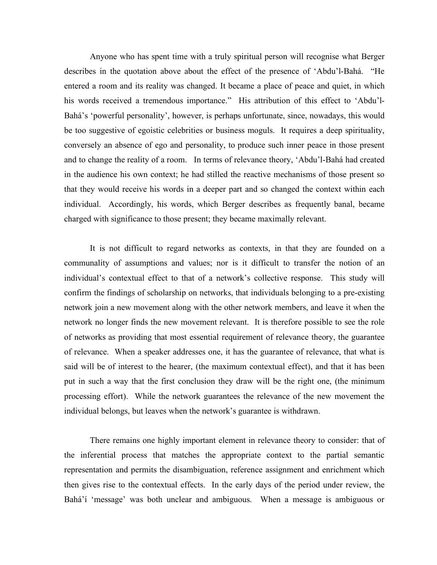Anyone who has spent time with a truly spiritual person will recognise what Berger describes in the quotation above about the effect of the presence of 'Abdu'l-Bahá. "He entered a room and its reality was changed. It became a place of peace and quiet, in which his words received a tremendous importance." His attribution of this effect to 'Abdu'l-Bahá's 'powerful personality', however, is perhaps unfortunate, since, nowadays, this would be too suggestive of egoistic celebrities or business moguls. It requires a deep spirituality, conversely an absence of ego and personality, to produce such inner peace in those present and to change the reality of a room. In terms of relevance theory, 'Abdu'l-Bahá had created in the audience his own context; he had stilled the reactive mechanisms of those present so that they would receive his words in a deeper part and so changed the context within each individual. Accordingly, his words, which Berger describes as frequently banal, became charged with significance to those present; they became maximally relevant.

It is not difficult to regard networks as contexts, in that they are founded on a communality of assumptions and values; nor is it difficult to transfer the notion of an individual's contextual effect to that of a network's collective response. This study will confirm the findings of scholarship on networks, that individuals belonging to a pre-existing network join a new movement along with the other network members, and leave it when the network no longer finds the new movement relevant. It is therefore possible to see the role of networks as providing that most essential requirement of relevance theory, the guarantee of relevance. When a speaker addresses one, it has the guarantee of relevance, that what is said will be of interest to the hearer, (the maximum contextual effect), and that it has been put in such a way that the first conclusion they draw will be the right one, (the minimum processing effort). While the network guarantees the relevance of the new movement the individual belongs, but leaves when the network's guarantee is withdrawn.

There remains one highly important element in relevance theory to consider: that of the inferential process that matches the appropriate context to the partial semantic representation and permits the disambiguation, reference assignment and enrichment which then gives rise to the contextual effects. In the early days of the period under review, the Bahá'í 'message' was both unclear and ambiguous. When a message is ambiguous or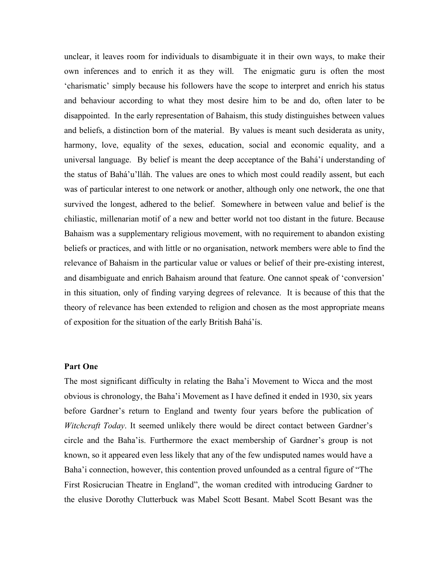unclear, it leaves room for individuals to disambiguate it in their own ways, to make their own inferences and to enrich it as they will. The enigmatic guru is often the most 'charismatic' simply because his followers have the scope to interpret and enrich his status and behaviour according to what they most desire him to be and do, often later to be disappointed. In the early representation of Bahaism, this study distinguishes between values and beliefs, a distinction born of the material. By values is meant such desiderata as unity, harmony, love, equality of the sexes, education, social and economic equality, and a universal language. By belief is meant the deep acceptance of the Bahá'í understanding of the status of Bahá'u'lláh. The values are ones to which most could readily assent, but each was of particular interest to one network or another, although only one network, the one that survived the longest, adhered to the belief. Somewhere in between value and belief is the chiliastic, millenarian motif of a new and better world not too distant in the future. Because Bahaism was a supplementary religious movement, with no requirement to abandon existing beliefs or practices, and with little or no organisation, network members were able to find the relevance of Bahaism in the particular value or values or belief of their pre-existing interest, and disambiguate and enrich Bahaism around that feature. One cannot speak of 'conversion' in this situation, only of finding varying degrees of relevance. It is because of this that the theory of relevance has been extended to religion and chosen as the most appropriate means of exposition for the situation of the early British Bahá'ís.

#### **Part One**

The most significant difficulty in relating the Baha'i Movement to Wicca and the most obvious is chronology, the Baha'i Movement as I have defined it ended in 1930, six years before Gardner's return to England and twenty four years before the publication of *Witchcraft Today*. It seemed unlikely there would be direct contact between Gardner's circle and the Baha'is. Furthermore the exact membership of Gardner's group is not known, so it appeared even less likely that any of the few undisputed names would have a Baha'i connection, however, this contention proved unfounded as a central figure of "The First Rosicrucian Theatre in England", the woman credited with introducing Gardner to the elusive Dorothy Clutterbuck was Mabel Scott Besant. Mabel Scott Besant was the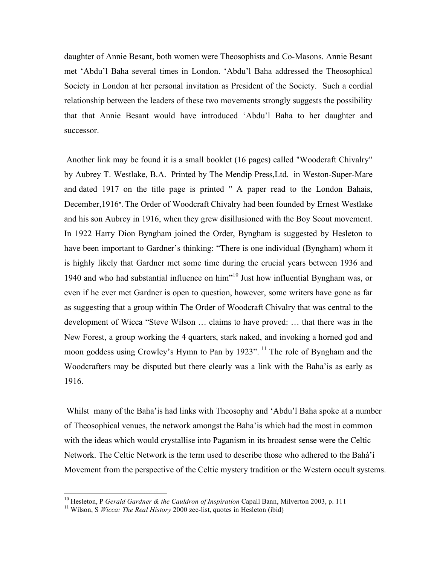daughter of Annie Besant, both women were Theosophists and Co-Masons. Annie Besant met 'Abdu'l Baha several times in London. 'Abdu'l Baha addressed the Theosophical Society in London at her personal invitation as President of the Society. Such a cordial relationship between the leaders of these two movements strongly suggests the possibility that that Annie Besant would have introduced 'Abdu'l Baha to her daughter and successor.

Another link may be found it is a small booklet (16 pages) called "Woodcraft Chivalry" by Aubrey T. Westlake, B.A. Printed by The Mendip Press,Ltd. in Weston-Super-Mare and dated 1917 on the title page is printed " A paper read to the London Bahais, December,1916". The Order of Woodcraft Chivalry had been founded by Ernest Westlake and his son Aubrey in 1916, when they grew disillusioned with the Boy Scout movement. In 1922 Harry Dion Byngham joined the Order, Byngham is suggested by Hesleton to have been important to Gardner's thinking: "There is one individual (Byngham) whom it is highly likely that Gardner met some time during the crucial years between 1936 and 1940 and who had substantial influence on him<sup>10</sup> Just how influential Byngham was, or even if he ever met Gardner is open to question, however, some writers have gone as far as suggesting that a group within The Order of Woodcraft Chivalry that was central to the development of Wicca "Steve Wilson … claims to have proved: … that there was in the New Forest, a group working the 4 quarters, stark naked, and invoking a horned god and moon goddess using Crowley's Hymn to Pan by 1923". <sup>11</sup> The role of Byngham and the Woodcrafters may be disputed but there clearly was a link with the Baha'is as early as 1916.

Whilst many of the Baha'is had links with Theosophy and 'Abdu'l Baha spoke at a number of Theosophical venues, the network amongst the Baha'is which had the most in common with the ideas which would crystallise into Paganism in its broadest sense were the Celtic Network. The Celtic Network is the term used to describe those who adhered to the Bahá'í Movement from the perspective of the Celtic mystery tradition or the Western occult systems.

<sup>&</sup>lt;sup>10</sup> Hesleton, P *Gerald Gardner & the Cauldron of Inspiration* Capall Bann, Milverton 2003, p. 111<sup>1</sup> Wilson, S *Wicca: The Real History* 2000 zee-list, quotes in Hesleton (ibid)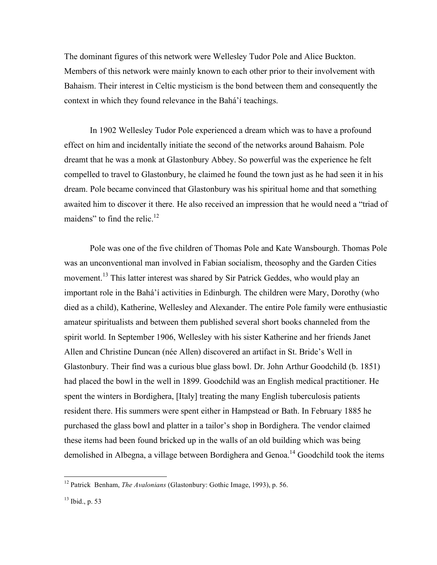The dominant figures of this network were Wellesley Tudor Pole and Alice Buckton. Members of this network were mainly known to each other prior to their involvement with Bahaism. Their interest in Celtic mysticism is the bond between them and consequently the context in which they found relevance in the Bahá'í teachings.

In 1902 Wellesley Tudor Pole experienced a dream which was to have a profound effect on him and incidentally initiate the second of the networks around Bahaism. Pole dreamt that he was a monk at Glastonbury Abbey. So powerful was the experience he felt compelled to travel to Glastonbury, he claimed he found the town just as he had seen it in his dream. Pole became convinced that Glastonbury was his spiritual home and that something awaited him to discover it there. He also received an impression that he would need a "triad of maidens" to find the relic.<sup>12</sup>

Pole was one of the five children of Thomas Pole and Kate Wansbourgh. Thomas Pole was an unconventional man involved in Fabian socialism, theosophy and the Garden Cities movement.<sup>13</sup> This latter interest was shared by Sir Patrick Geddes, who would play an important role in the Bahá'í activities in Edinburgh. The children were Mary, Dorothy (who died as a child), Katherine, Wellesley and Alexander. The entire Pole family were enthusiastic amateur spiritualists and between them published several short books channeled from the spirit world. In September 1906, Wellesley with his sister Katherine and her friends Janet Allen and Christine Duncan (née Allen) discovered an artifact in St. Bride's Well in Glastonbury. Their find was a curious blue glass bowl. Dr. John Arthur Goodchild (b. 1851) had placed the bowl in the well in 1899. Goodchild was an English medical practitioner. He spent the winters in Bordighera, [Italy] treating the many English tuberculosis patients resident there. His summers were spent either in Hampstead or Bath. In February 1885 he purchased the glass bowl and platter in a tailor's shop in Bordighera. The vendor claimed these items had been found bricked up in the walls of an old building which was being demolished in Albegna, a village between Bordighera and Genoa.<sup>14</sup> Goodchild took the items

 <sup>12</sup> Patrick Benham, *The Avalonians* (Glastonbury: Gothic Image, 1993), p. 56.

 $13$  Ibid., p. 53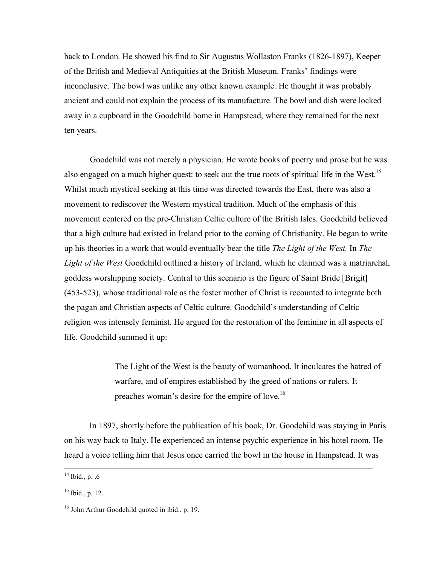back to London. He showed his find to Sir Augustus Wollaston Franks (1826-1897), Keeper of the British and Medieval Antiquities at the British Museum. Franks' findings were inconclusive. The bowl was unlike any other known example. He thought it was probably ancient and could not explain the process of its manufacture. The bowl and dish were locked away in a cupboard in the Goodchild home in Hampstead, where they remained for the next ten years.

Goodchild was not merely a physician. He wrote books of poetry and prose but he was also engaged on a much higher quest: to seek out the true roots of spiritual life in the West.<sup>15</sup> Whilst much mystical seeking at this time was directed towards the East, there was also a movement to rediscover the Western mystical tradition. Much of the emphasis of this movement centered on the pre-Christian Celtic culture of the British Isles. Goodchild believed that a high culture had existed in Ireland prior to the coming of Christianity. He began to write up his theories in a work that would eventually bear the title *The Light of the West.* In *The Light of the West* Goodchild outlined a history of Ireland, which he claimed was a matriarchal, goddess worshipping society. Central to this scenario is the figure of Saint Bride [Brigit] (453-523), whose traditional role as the foster mother of Christ is recounted to integrate both the pagan and Christian aspects of Celtic culture. Goodchild's understanding of Celtic religion was intensely feminist. He argued for the restoration of the feminine in all aspects of life. Goodchild summed it up:

> The Light of the West is the beauty of womanhood. It inculcates the hatred of warfare, and of empires established by the greed of nations or rulers. It preaches woman's desire for the empire of love.<sup>16</sup>

In 1897, shortly before the publication of his book, Dr. Goodchild was staying in Paris on his way back to Italy. He experienced an intense psychic experience in his hotel room. He heard a voice telling him that Jesus once carried the bowl in the house in Hampstead. It was

 $14$  Ibid., p. .6

 $15$  Ibid., p. 12.

 $16$  John Arthur Goodchild quoted in ibid., p. 19.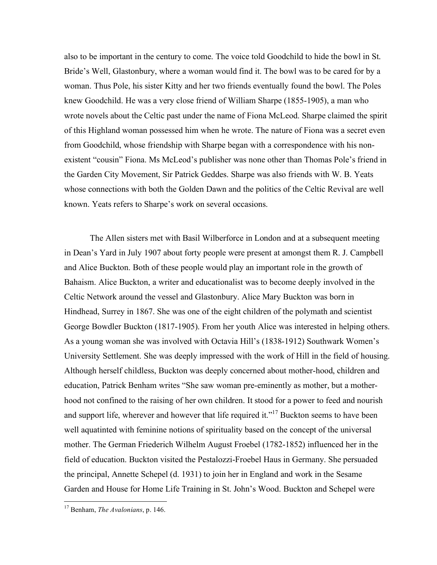also to be important in the century to come. The voice told Goodchild to hide the bowl in St. Bride's Well, Glastonbury, where a woman would find it. The bowl was to be cared for by a woman. Thus Pole, his sister Kitty and her two friends eventually found the bowl. The Poles knew Goodchild. He was a very close friend of William Sharpe (1855-1905), a man who wrote novels about the Celtic past under the name of Fiona McLeod. Sharpe claimed the spirit of this Highland woman possessed him when he wrote. The nature of Fiona was a secret even from Goodchild, whose friendship with Sharpe began with a correspondence with his nonexistent "cousin" Fiona. Ms McLeod's publisher was none other than Thomas Pole's friend in the Garden City Movement, Sir Patrick Geddes. Sharpe was also friends with W. B. Yeats whose connections with both the Golden Dawn and the politics of the Celtic Revival are well known. Yeats refers to Sharpe's work on several occasions.

The Allen sisters met with Basil Wilberforce in London and at a subsequent meeting in Dean's Yard in July 1907 about forty people were present at amongst them R. J. Campbell and Alice Buckton. Both of these people would play an important role in the growth of Bahaism. Alice Buckton, a writer and educationalist was to become deeply involved in the Celtic Network around the vessel and Glastonbury. Alice Mary Buckton was born in Hindhead, Surrey in 1867. She was one of the eight children of the polymath and scientist George Bowdler Buckton (1817-1905). From her youth Alice was interested in helping others. As a young woman she was involved with Octavia Hill's (1838-1912) Southwark Women's University Settlement. She was deeply impressed with the work of Hill in the field of housing. Although herself childless, Buckton was deeply concerned about mother-hood, children and education, Patrick Benham writes "She saw woman pre-eminently as mother, but a motherhood not confined to the raising of her own children. It stood for a power to feed and nourish and support life, wherever and however that life required it."<sup>17</sup> Buckton seems to have been well aquatinted with feminine notions of spirituality based on the concept of the universal mother. The German Friederich Wilhelm August Froebel (1782-1852) influenced her in the field of education. Buckton visited the Pestalozzi-Froebel Haus in Germany. She persuaded the principal, Annette Schepel (d. 1931) to join her in England and work in the Sesame Garden and House for Home Life Training in St. John's Wood. Buckton and Schepel were

 <sup>17</sup> Benham, *The Avalonians*, p. 146.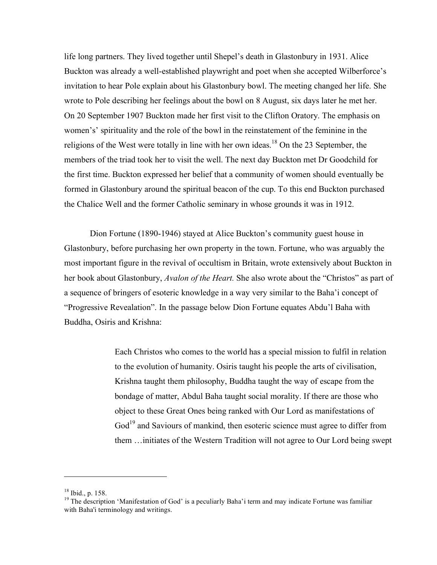life long partners. They lived together until Shepel's death in Glastonbury in 1931. Alice Buckton was already a well-established playwright and poet when she accepted Wilberforce's invitation to hear Pole explain about his Glastonbury bowl. The meeting changed her life. She wrote to Pole describing her feelings about the bowl on 8 August, six days later he met her. On 20 September 1907 Buckton made her first visit to the Clifton Oratory. The emphasis on women's' spirituality and the role of the bowl in the reinstatement of the feminine in the religions of the West were totally in line with her own ideas.<sup>18</sup> On the 23 September, the members of the triad took her to visit the well. The next day Buckton met Dr Goodchild for the first time. Buckton expressed her belief that a community of women should eventually be formed in Glastonbury around the spiritual beacon of the cup. To this end Buckton purchased the Chalice Well and the former Catholic seminary in whose grounds it was in 1912.

Dion Fortune (1890-1946) stayed at Alice Buckton's community guest house in Glastonbury, before purchasing her own property in the town. Fortune, who was arguably the most important figure in the revival of occultism in Britain, wrote extensively about Buckton in her book about Glastonbury, *Avalon of the Heart.* She also wrote about the "Christos" as part of a sequence of bringers of esoteric knowledge in a way very similar to the Baha'i concept of "Progressive Revealation". In the passage below Dion Fortune equates Abdu'l Baha with Buddha, Osiris and Krishna:

> Each Christos who comes to the world has a special mission to fulfil in relation to the evolution of humanity. Osiris taught his people the arts of civilisation, Krishna taught them philosophy, Buddha taught the way of escape from the bondage of matter, Abdul Baha taught social morality. If there are those who object to these Great Ones being ranked with Our Lord as manifestations of God<sup>19</sup> and Saviours of mankind, then esoteric science must agree to differ from them …initiates of the Western Tradition will not agree to Our Lord being swept

 $\overline{a}$ 

<sup>&</sup>lt;sup>18</sup> Ibid., p. 158.<br><sup>19</sup> The description 'Manifestation of God' is a peculiarly Baha'i term and may indicate Fortune was familiar with Baha'i terminology and writings.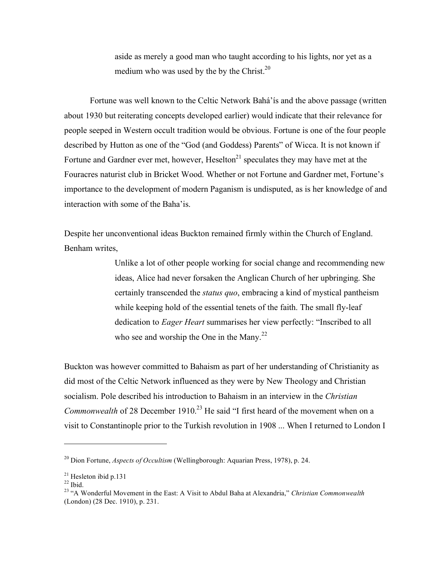aside as merely a good man who taught according to his lights, nor yet as a medium who was used by the by the Christ. $20$ 

Fortune was well known to the Celtic Network Bahá'ís and the above passage (written about 1930 but reiterating concepts developed earlier) would indicate that their relevance for people seeped in Western occult tradition would be obvious. Fortune is one of the four people described by Hutton as one of the "God (and Goddess) Parents" of Wicca. It is not known if Fortune and Gardner ever met, however,  $Heselton<sup>21</sup>$  speculates they may have met at the Fouracres naturist club in Bricket Wood. Whether or not Fortune and Gardner met, Fortune's importance to the development of modern Paganism is undisputed, as is her knowledge of and interaction with some of the Baha'is.

Despite her unconventional ideas Buckton remained firmly within the Church of England. Benham writes,

> Unlike a lot of other people working for social change and recommending new ideas, Alice had never forsaken the Anglican Church of her upbringing. She certainly transcended the *status quo*, embracing a kind of mystical pantheism while keeping hold of the essential tenets of the faith. The small fly-leaf dedication to *Eager Heart* summarises her view perfectly: "Inscribed to all who see and worship the One in the Many. $^{22}$

Buckton was however committed to Bahaism as part of her understanding of Christianity as did most of the Celtic Network influenced as they were by New Theology and Christian socialism. Pole described his introduction to Bahaism in an interview in the *Christian Commonwealth* of 28 December 1910. <sup>23</sup> He said "I first heard of the movement when on a visit to Constantinople prior to the Turkish revolution in 1908 ... When I returned to London I

 $\overline{a}$ 

<sup>20</sup> Dion Fortune, *Aspects of Occultism* (Wellingborough: Aquarian Press, 1978), p. 24.

<sup>&</sup>lt;sup>21</sup> Hesleton ibid p.131<br><sup>22</sup> Ibid.<br><sup>23</sup> "A Wonderful Movement in the East: A Visit to Abdul Baha at Alexandria," *Christian Commonwealth* (London) (28 Dec. 1910), p. 231.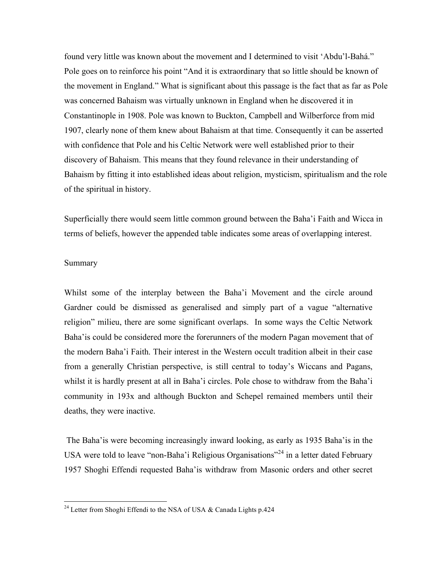found very little was known about the movement and I determined to visit 'Abdu'l-Bahá." Pole goes on to reinforce his point "And it is extraordinary that so little should be known of the movement in England." What is significant about this passage is the fact that as far as Pole was concerned Bahaism was virtually unknown in England when he discovered it in Constantinople in 1908. Pole was known to Buckton, Campbell and Wilberforce from mid 1907, clearly none of them knew about Bahaism at that time. Consequently it can be asserted with confidence that Pole and his Celtic Network were well established prior to their discovery of Bahaism. This means that they found relevance in their understanding of Bahaism by fitting it into established ideas about religion, mysticism, spiritualism and the role of the spiritual in history.

Superficially there would seem little common ground between the Baha'i Faith and Wicca in terms of beliefs, however the appended table indicates some areas of overlapping interest.

#### Summary

Whilst some of the interplay between the Baha'i Movement and the circle around Gardner could be dismissed as generalised and simply part of a vague "alternative religion" milieu, there are some significant overlaps. In some ways the Celtic Network Baha'is could be considered more the forerunners of the modern Pagan movement that of the modern Baha'i Faith. Their interest in the Western occult tradition albeit in their case from a generally Christian perspective, is still central to today's Wiccans and Pagans, whilst it is hardly present at all in Baha'i circles. Pole chose to withdraw from the Baha'i community in 193x and although Buckton and Schepel remained members until their deaths, they were inactive.

The Baha'is were becoming increasingly inward looking, as early as 1935 Baha'is in the USA were told to leave "non-Baha'i Religious Organisations"<sup>24</sup> in a letter dated February 1957 Shoghi Effendi requested Baha'is withdraw from Masonic orders and other secret

<sup>&</sup>lt;sup>24</sup> Letter from Shoghi Effendi to the NSA of USA & Canada Lights p.424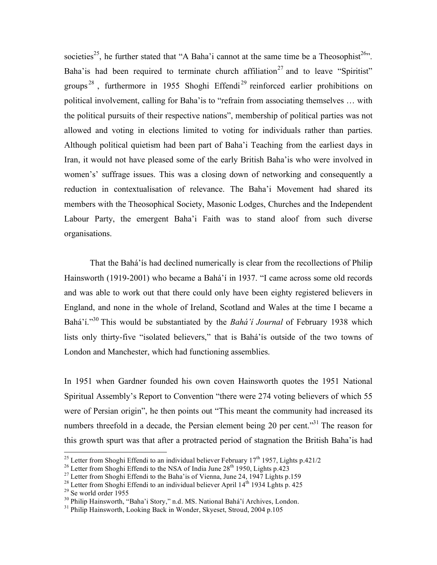societies<sup>25</sup>, he further stated that "A Baha'i cannot at the same time be a Theosophist<sup>26</sup>". Baha' is had been required to terminate church affiliation<sup>27</sup> and to leave "Spiritist" groups<sup>28</sup>, furthermore in 1955 Shoghi Effendi<sup>29</sup> reinforced earlier prohibitions on political involvement, calling for Baha'is to "refrain from associating themselves … with the political pursuits of their respective nations", membership of political parties was not allowed and voting in elections limited to voting for individuals rather than parties. Although political quietism had been part of Baha'i Teaching from the earliest days in Iran, it would not have pleased some of the early British Baha'is who were involved in women's' suffrage issues. This was a closing down of networking and consequently a reduction in contextualisation of relevance. The Baha'i Movement had shared its members with the Theosophical Society, Masonic Lodges, Churches and the Independent Labour Party, the emergent Baha'i Faith was to stand aloof from such diverse organisations.

That the Bahá'ís had declined numerically is clear from the recollections of Philip Hainsworth (1919-2001) who became a Bahá'í in 1937. "I came across some old records and was able to work out that there could only have been eighty registered believers in England, and none in the whole of Ireland, Scotland and Wales at the time I became a Bahá'í."<sup>30</sup> This would be substantiated by the *Bahá'í Journal* of February 1938 which lists only thirty-five "isolated believers," that is Bahá'ís outside of the two towns of London and Manchester, which had functioning assemblies.

In 1951 when Gardner founded his own coven Hainsworth quotes the 1951 National Spiritual Assembly's Report to Convention "there were 274 voting believers of which 55 were of Persian origin", he then points out "This meant the community had increased its numbers threefold in a decade, the Persian element being 20 per cent."<sup>31</sup> The reason for this growth spurt was that after a protracted period of stagnation the British Baha'is had

<sup>&</sup>lt;sup>25</sup> Letter from Shoghi Effendi to an individual believer February  $17^{\text{th}}$  1957, Lights p.421/2<br><sup>26</sup> Letter from Shoghi Effendi to the NSA of India June 28<sup>th</sup> 1950, Lights p.423<br><sup>27</sup> Letter from Shoghi Effendi to the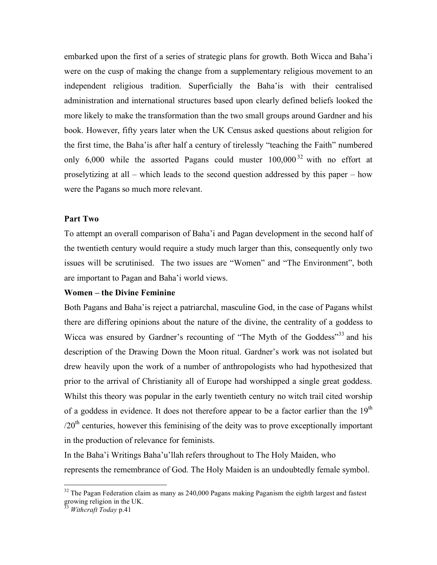embarked upon the first of a series of strategic plans for growth. Both Wicca and Baha'i were on the cusp of making the change from a supplementary religious movement to an independent religious tradition. Superficially the Baha'is with their centralised administration and international structures based upon clearly defined beliefs looked the more likely to make the transformation than the two small groups around Gardner and his book. However, fifty years later when the UK Census asked questions about religion for the first time, the Baha'is after half a century of tirelessly "teaching the Faith" numbered only 6,000 while the assorted Pagans could muster  $100,000^{32}$  with no effort at proselytizing at all – which leads to the second question addressed by this paper – how were the Pagans so much more relevant.

#### **Part Two**

To attempt an overall comparison of Baha'i and Pagan development in the second half of the twentieth century would require a study much larger than this, consequently only two issues will be scrutinised. The two issues are "Women" and "The Environment", both are important to Pagan and Baha'i world views.

#### **Women – the Divine Feminine**

Both Pagans and Baha'is reject a patriarchal, masculine God, in the case of Pagans whilst there are differing opinions about the nature of the divine, the centrality of a goddess to Wicca was ensured by Gardner's recounting of "The Myth of the Goddess"<sup>33</sup> and his description of the Drawing Down the Moon ritual. Gardner's work was not isolated but drew heavily upon the work of a number of anthropologists who had hypothesized that prior to the arrival of Christianity all of Europe had worshipped a single great goddess. Whilst this theory was popular in the early twentieth century no witch trail cited worship of a goddess in evidence. It does not therefore appear to be a factor earlier than the  $19<sup>th</sup>$  $/20<sup>th</sup>$  centuries, however this feminising of the deity was to prove exceptionally important in the production of relevance for feminists.

In the Baha'i Writings Baha'u'llah refers throughout to The Holy Maiden, who represents the remembrance of God. The Holy Maiden is an undoubtedly female symbol.

 $32$  The Pagan Federation claim as many as 240,000 Pagans making Paganism the eighth largest and fastest growing religion in the UK. <sup>33</sup> *Withcraft Today* p.41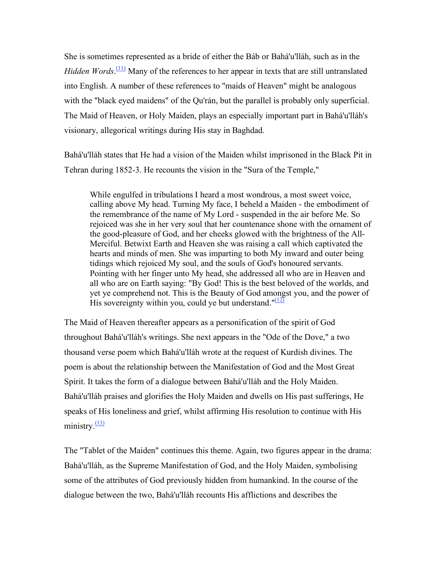She is sometimes represented as a bride of either the Báb or Bahá'u'lláh, such as in the *Hidden Words*.<sup>(11)</sup> Many of the references to her appear in texts that are still untranslated into English. A number of these references to "maids of Heaven" might be analogous with the "black eyed maidens" of the Qu'rán, but the parallel is probably only superficial. The Maid of Heaven, or Holy Maiden, plays an especially important part in Bahá'u'lláh's visionary, allegorical writings during His stay in Baghdad.

Bahá'u'lláh states that He had a vision of the Maiden whilst imprisoned in the Black Pit in Tehran during 1852-3. He recounts the vision in the "Sura of the Temple,"

While engulfed in tribulations I heard a most wondrous, a most sweet voice, calling above My head. Turning My face, I beheld a Maiden - the embodiment of the remembrance of the name of My Lord - suspended in the air before Me. So rejoiced was she in her very soul that her countenance shone with the ornament of the good-pleasure of God, and her cheeks glowed with the brightness of the All-Merciful. Betwixt Earth and Heaven she was raising a call which captivated the hearts and minds of men. She was imparting to both My inward and outer being tidings which rejoiced My soul, and the souls of God's honoured servants. Pointing with her finger unto My head, she addressed all who are in Heaven and all who are on Earth saying: "By God! This is the best beloved of the worlds, and yet ye comprehend not. This is the Beauty of God amongst you, and the power of His sovereignty within you, could ye but understand." $(12)$ 

The Maid of Heaven thereafter appears as a personification of the spirit of God throughout Bahá'u'lláh's writings. She next appears in the "Ode of the Dove," a two thousand verse poem which Bahá'u'lláh wrote at the request of Kurdish divines. The poem is about the relationship between the Manifestation of God and the Most Great Spirit. It takes the form of a dialogue between Bahá'u'lláh and the Holy Maiden. Bahá'u'lláh praises and glorifies the Holy Maiden and dwells on His past sufferings, He speaks of His loneliness and grief, whilst affirming His resolution to continue with His ministry $\frac{(13)}{2}$ 

The "Tablet of the Maiden" continues this theme. Again, two figures appear in the drama: Bahá'u'lláh, as the Supreme Manifestation of God, and the Holy Maiden, symbolising some of the attributes of God previously hidden from humankind. In the course of the dialogue between the two, Bahá'u'lláh recounts His afflictions and describes the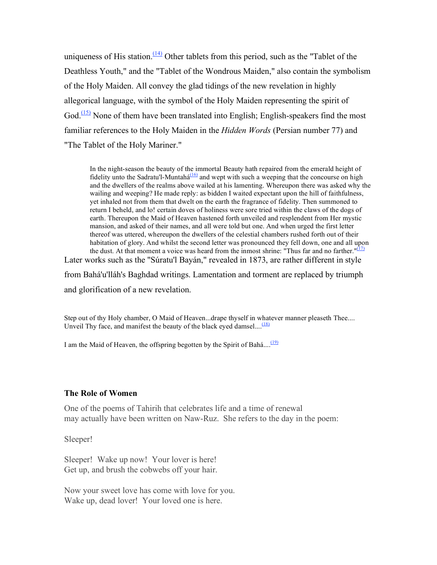uniqueness of His station.<sup> $(14)$ </sup> Other tablets from this period, such as the "Tablet of the Deathless Youth," and the "Tablet of the Wondrous Maiden," also contain the symbolism of the Holy Maiden. All convey the glad tidings of the new revelation in highly allegorical language, with the symbol of the Holy Maiden representing the spirit of God.<sup>(15)</sup> None of them have been translated into English; English-speakers find the most familiar references to the Holy Maiden in the *Hidden Words* (Persian number 77) and "The Tablet of the Holy Mariner."

In the night-season the beauty of the immortal Beauty hath repaired from the emerald height of fidelity unto the Sadratu'l-Muntahá<sup>(16)</sup> and wept with such a weeping that the concourse on high and the dwellers of the realms above wailed at his lamenting. Whereupon there was asked why the wailing and weeping? He made reply: as bidden I waited expectant upon the hill of faithfulness, yet inhaled not from them that dwelt on the earth the fragrance of fidelity. Then summoned to return I beheld, and lo! certain doves of holiness were sore tried within the claws of the dogs of earth. Thereupon the Maid of Heaven hastened forth unveiled and resplendent from Her mystic mansion, and asked of their names, and all were told but one. And when urged the first letter thereof was uttered, whereupon the dwellers of the celestial chambers rushed forth out of their habitation of glory. And whilst the second letter was pronounced they fell down, one and all upon the dust. At that moment a voice was heard from the inmost shrine: "Thus far and no farther." $(17)$ Later works such as the "Súratu'l Bayán," revealed in 1873, are rather different in style

from Bahá'u'lláh's Baghdad writings. Lamentation and torment are replaced by triumph and glorification of a new revelation.

Step out of thy Holy chamber, O Maid of Heaven...drape thyself in whatever manner pleaseth Thee.... Unveil Thy face, and manifest the beauty of the black eyed damsel....<sup>(18)</sup>

I am the Maid of Heaven, the offspring begotten by the Spirit of Bahá....<sup>(19)</sup>

#### **The Role of Women**

One of the poems of Tahirih that celebrates life and a time of renewal may actually have been written on Naw-Ruz. She refers to the day in the poem:

Sleeper!

Sleeper! Wake up now! Your lover is here! Get up, and brush the cobwebs off your hair.

Now your sweet love has come with love for you. Wake up, dead lover! Your loved one is here.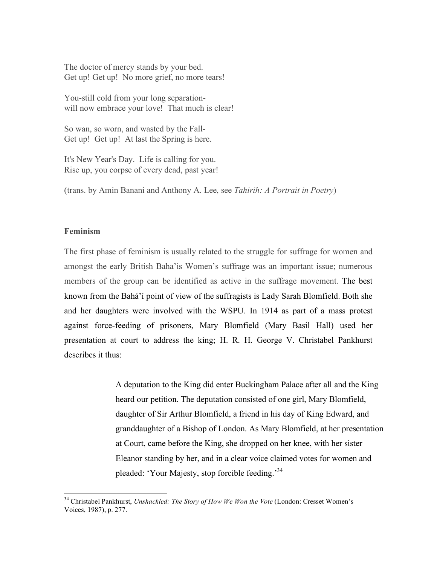The doctor of mercy stands by your bed. Get up! Get up! No more grief, no more tears!

You-still cold from your long separationwill now embrace your love! That much is clear!

So wan, so worn, and wasted by the Fall-Get up! Get up! At last the Spring is here.

It's New Year's Day. Life is calling for you. Rise up, you corpse of every dead, past year!

(trans. by Amin Banani and Anthony A. Lee, see *Tahirih: A Portrait in Poetry*)

## **Feminism**

The first phase of feminism is usually related to the struggle for suffrage for women and amongst the early British Baha'is Women's suffrage was an important issue; numerous members of the group can be identified as active in the suffrage movement. The best known from the Bahá'í point of view of the suffragists is Lady Sarah Blomfield. Both she and her daughters were involved with the WSPU. In 1914 as part of a mass protest against force-feeding of prisoners, Mary Blomfield (Mary Basil Hall) used her presentation at court to address the king; H. R. H. George V. Christabel Pankhurst describes it thus:

> A deputation to the King did enter Buckingham Palace after all and the King heard our petition. The deputation consisted of one girl, Mary Blomfield, daughter of Sir Arthur Blomfield, a friend in his day of King Edward, and granddaughter of a Bishop of London. As Mary Blomfield, at her presentation at Court, came before the King, she dropped on her knee, with her sister Eleanor standing by her, and in a clear voice claimed votes for women and pleaded: 'Your Majesty, stop forcible feeding.'<sup>34</sup>

 <sup>34</sup> Christabel Pankhurst, *Unshackled: The Story of How We Won the Vote* (London: Cresset Women's Voices, 1987), p. 277.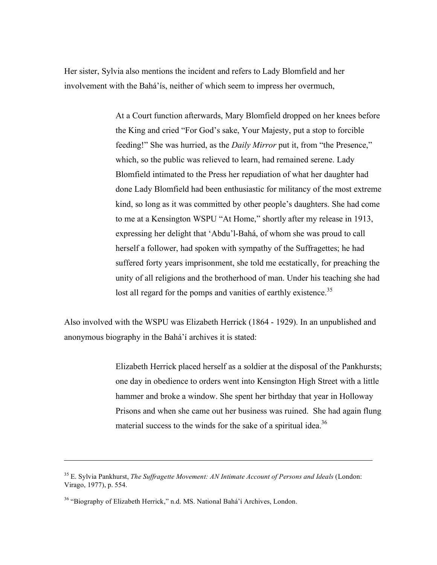Her sister, Sylvia also mentions the incident and refers to Lady Blomfield and her involvement with the Bahá'ís, neither of which seem to impress her overmuch,

> At a Court function afterwards, Mary Blomfield dropped on her knees before the King and cried "For God's sake, Your Majesty, put a stop to forcible feeding!" She was hurried, as the *Daily Mirror* put it, from "the Presence," which, so the public was relieved to learn, had remained serene. Lady Blomfield intimated to the Press her repudiation of what her daughter had done Lady Blomfield had been enthusiastic for militancy of the most extreme kind, so long as it was committed by other people's daughters. She had come to me at a Kensington WSPU "At Home," shortly after my release in 1913, expressing her delight that 'Abdu'l-Bahá, of whom she was proud to call herself a follower, had spoken with sympathy of the Suffragettes; he had suffered forty years imprisonment, she told me ecstatically, for preaching the unity of all religions and the brotherhood of man. Under his teaching she had lost all regard for the pomps and vanities of earthly existence.<sup>35</sup>

Also involved with the WSPU was Elizabeth Herrick (1864 - 1929). In an unpublished and anonymous biography in the Bahá'í archives it is stated:

> Elizabeth Herrick placed herself as a soldier at the disposal of the Pankhursts; one day in obedience to orders went into Kensington High Street with a little hammer and broke a window. She spent her birthday that year in Holloway Prisons and when she came out her business was ruined. She had again flung material success to the winds for the sake of a spiritual idea.<sup>36</sup>

 $\overline{a}$ 

<sup>35</sup> E. Sylvia Pankhurst, *The Suffragette Movement: AN Intimate Account of Persons and Ideals* (London: Virago, 1977), p. 554.

<sup>&</sup>lt;sup>36</sup> "Biography of Elizabeth Herrick," n.d. MS. National Bahá'í Archives, London.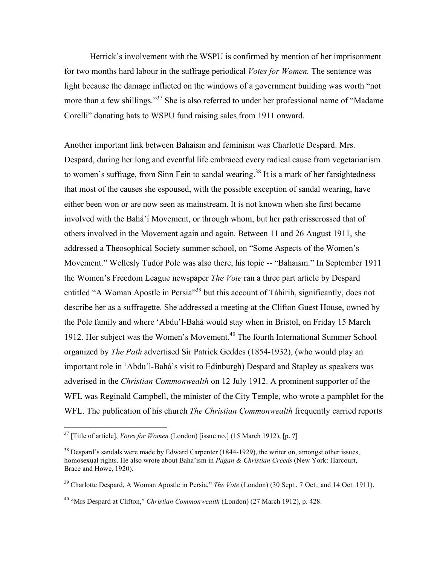Herrick's involvement with the WSPU is confirmed by mention of her imprisonment for two months hard labour in the suffrage periodical *Votes for Women.* The sentence was light because the damage inflicted on the windows of a government building was worth "not more than a few shillings."<sup>37</sup> She is also referred to under her professional name of "Madame Corelli" donating hats to WSPU fund raising sales from 1911 onward.

Another important link between Bahaism and feminism was Charlotte Despard. Mrs. Despard, during her long and eventful life embraced every radical cause from vegetarianism to women's suffrage, from Sinn Fein to sandal wearing.<sup>38</sup> It is a mark of her farsightedness that most of the causes she espoused, with the possible exception of sandal wearing, have either been won or are now seen as mainstream. It is not known when she first became involved with the Bahá'í Movement, or through whom, but her path crisscrossed that of others involved in the Movement again and again. Between 11 and 26 August 1911, she addressed a Theosophical Society summer school, on "Some Aspects of the Women's Movement." Wellesly Tudor Pole was also there, his topic -- "Bahaism." In September 1911 the Women's Freedom League newspaper *The Vote* ran a three part article by Despard entitled "A Woman Apostle in Persia"<sup>39</sup> but this account of Táhirih, significantly, does not describe her as a suffragette. She addressed a meeting at the Clifton Guest House, owned by the Pole family and where 'Abdu'l-Bahá would stay when in Bristol, on Friday 15 March 1912. Her subject was the Women's Movement. <sup>40</sup> The fourth International Summer School organized by *The Path* advertised Sir Patrick Geddes (1854-1932), (who would play an important role in 'Abdu'l-Bahá's visit to Edinburgh) Despard and Stapley as speakers was adverised in the *Christian Commonwealth* on 12 July 1912. A prominent supporter of the WFL was Reginald Campbell, the minister of the City Temple, who wrote a pamphlet for the WFL. The publication of his church *The Christian Commonwealth* frequently carried reports

 <sup>37</sup> [Title of article], *Votes for Women* (London) [issue no.] (15 March 1912), [p. ?]

 $38$  Despard's sandals were made by Edward Carpenter (1844-1929), the writer on, amongst other issues, homosexual rights. He also wrote about Baha'ism in *Pagan & Christian Creeds* (New York: Harcourt, Brace and Howe, 1920).

<sup>&</sup>lt;sup>39</sup> Charlotte Despard, A Woman Apostle in Persia," *The Vote* (London) (30 Sept., 7 Oct., and 14 Oct. 1911).

<sup>40</sup> "Mrs Despard at Clifton," *Christian Commonwealth* (London) (27 March 1912), p. 428.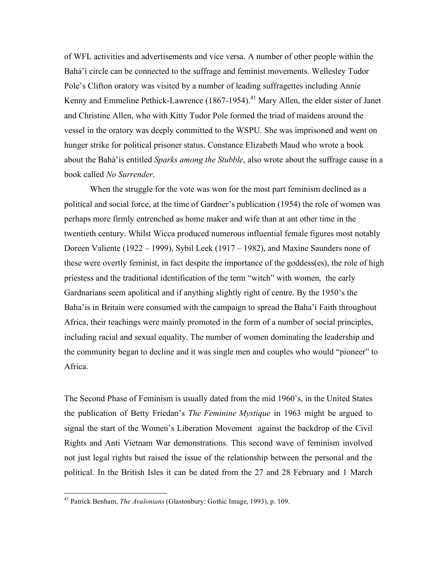of WFL activities and advertisements and vice versa. A number of other people within the Bahá'í circle can be connected to the suffrage and feminist movements. Wellesley Tudor Pole's Clifton oratory was visited by a number of leading suffragettes including Annie Kenny and Emmeline Pethick-Lawrence (1867-1954).<sup>41</sup> Mary Allen, the elder sister of Janet and Christine Allen, who with Kitty Tudor Pole formed the triad of maidens around the vessel in the oratory was deeply committed to the WSPU. She was imprisoned and went on hunger strike for political prisoner status. Constance Elizabeth Maud who wrote a book about the Bahá'ís entitled *Sparks among the Stubble*, also wrote about the suffrage cause in a book called *No Surrender*.

When the struggle for the vote was won for the most part feminism declined as a political and social force, at the time of Gardner's publication (1954) the role of women was perhaps more firmly entrenched as home maker and wife than at ant other time in the twentieth century. Whilst Wicca produced numerous influential female figures most notably Doreen Valiente (1922 – 1999), Sybil Leek (1917 – 1982), and Maxine Saunders none of these were overtly feminist, in fact despite the importance of the goddess(es), the role of high priestess and the traditional identification of the term "witch" with women, the early Gardnarians seem apolitical and if anything slightly right of centre. By the 1950's the Baha'is in Britain were consumed with the campaign to spread the Baha'i Faith throughout Africa, their teachings were mainly promoted in the form of a number of social principles, including racial and sexual equality. The number of women dominating the leadership and the community began to decline and it was single men and couples who would "pioneer" to Africa.

The Second Phase of Feminism is usually dated from the mid 1960's, in the United States the publication of Betty Friedan's *The Feminine Mystique* in 1963 might be argued to signal the start of the Women's Liberation Movement against the backdrop of the Civil Rights and Anti Vietnam War demonstrations. This second wave of feminism involved not just legal rights but raised the issue of the relationship between the personal and the political. In the British Isles it can be dated from the 27 and 28 February and 1 March

 <sup>41</sup> Patrick Benham, *The Avalonians* (Glastonbury: Gothic Image, 1993), p. 109.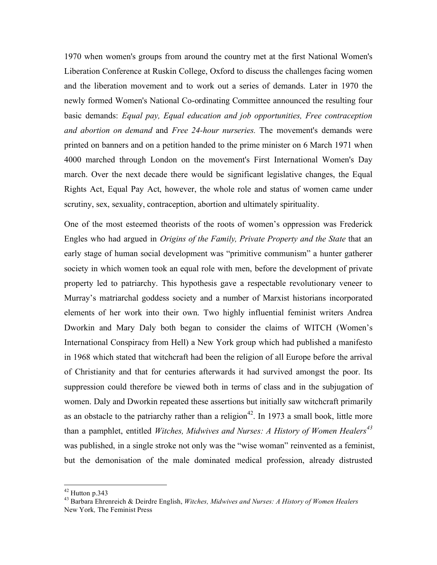1970 when women's groups from around the country met at the first National Women's Liberation Conference at Ruskin College, Oxford to discuss the challenges facing women and the liberation movement and to work out a series of demands. Later in 1970 the newly formed Women's National Co-ordinating Committee announced the resulting four basic demands: *Equal pay, Equal education and job opportunities, Free contraception and abortion on demand* and *Free 24-hour nurseries.* The movement's demands were printed on banners and on a petition handed to the prime minister on 6 March 1971 when 4000 marched through London on the movement's First International Women's Day march. Over the next decade there would be significant legislative changes, the Equal Rights Act, Equal Pay Act, however, the whole role and status of women came under scrutiny, sex, sexuality, contraception, abortion and ultimately spirituality.

One of the most esteemed theorists of the roots of women's oppression was Frederick Engles who had argued in *Origins of the Family, Private Property and the State* that an early stage of human social development was "primitive communism" a hunter gatherer society in which women took an equal role with men, before the development of private property led to patriarchy. This hypothesis gave a respectable revolutionary veneer to Murray's matriarchal goddess society and a number of Marxist historians incorporated elements of her work into their own. Two highly influential feminist writers Andrea Dworkin and Mary Daly both began to consider the claims of WITCH (Women's International Conspiracy from Hell) a New York group which had published a manifesto in 1968 which stated that witchcraft had been the religion of all Europe before the arrival of Christianity and that for centuries afterwards it had survived amongst the poor. Its suppression could therefore be viewed both in terms of class and in the subjugation of women. Daly and Dworkin repeated these assertions but initially saw witchcraft primarily as an obstacle to the patriarchy rather than a religion<sup>42</sup>. In 1973 a small book, little more than a pamphlet, entitled *Witches, Midwives and Nurses: A History of Women Healers 43* was published, in a single stroke not only was the "wise woman" reinvented as a feminist, but the demonisation of the male dominated medical profession, already distrusted

<sup>42</sup> Hutton p.343 <sup>43</sup> Barbara Ehrenreich & Deirdre English, *Witches, Midwives and Nurses: <sup>A</sup> History of Women Healers* New York*,* The Feminist Press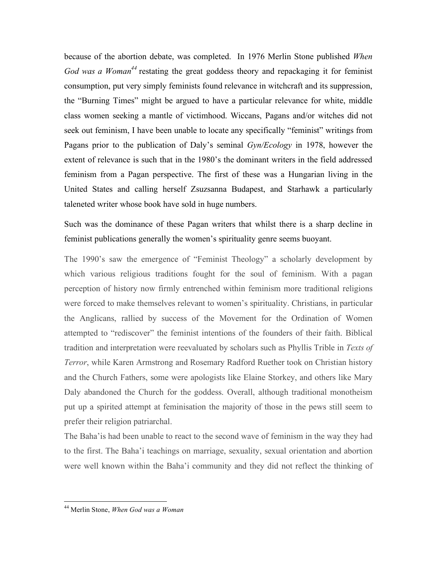because of the abortion debate, was completed. In 1976 Merlin Stone published *When*  God was a Woman<sup>44</sup> restating the great goddess theory and repackaging it for feminist consumption, put very simply feminists found relevance in witchcraft and its suppression, the "Burning Times" might be argued to have a particular relevance for white, middle class women seeking a mantle of victimhood. Wiccans, Pagans and/or witches did not seek out feminism, I have been unable to locate any specifically "feminist" writings from Pagans prior to the publication of Daly's seminal *Gyn/Ecology* in 1978, however the extent of relevance is such that in the 1980's the dominant writers in the field addressed feminism from a Pagan perspective. The first of these was a Hungarian living in the United States and calling herself Zsuzsanna Budapest, and Starhawk a particularly taleneted writer whose book have sold in huge numbers.

Such was the dominance of these Pagan writers that whilst there is a sharp decline in feminist publications generally the women's spirituality genre seems buoyant.

The 1990's saw the emergence of "Feminist Theology" a scholarly development by which various religious traditions fought for the soul of feminism. With a pagan perception of history now firmly entrenched within feminism more traditional religions were forced to make themselves relevant to women's spirituality. Christians, in particular the Anglicans, rallied by success of the Movement for the Ordination of Women attempted to "rediscover" the feminist intentions of the founders of their faith. Biblical tradition and interpretation were reevaluated by scholars such as Phyllis Trible in *Texts of Terror*, while Karen Armstrong and Rosemary Radford Ruether took on Christian history and the Church Fathers, some were apologists like Elaine Storkey, and others like Mary Daly abandoned the Church for the goddess. Overall, although traditional monotheism put up a spirited attempt at feminisation the majority of those in the pews still seem to prefer their religion patriarchal.

The Baha'is had been unable to react to the second wave of feminism in the way they had to the first. The Baha'i teachings on marriage, sexuality, sexual orientation and abortion were well known within the Baha'i community and they did not reflect the thinking of

 <sup>44</sup> Merlin Stone, *When God was <sup>a</sup> Woman*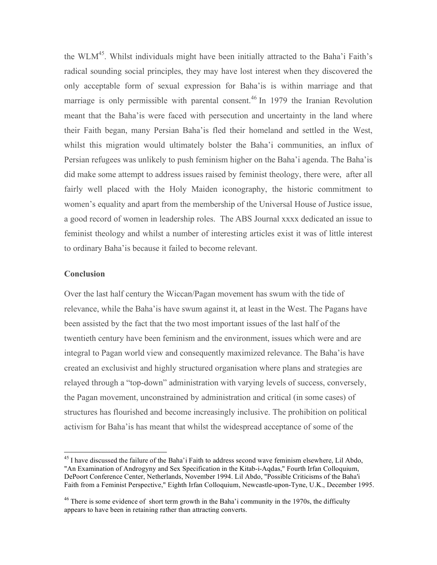the WLM<sup>45</sup>. Whilst individuals might have been initially attracted to the Baha'i Faith's radical sounding social principles, they may have lost interest when they discovered the only acceptable form of sexual expression for Baha'is is within marriage and that marriage is only permissible with parental consent.<sup>46</sup> In 1979 the Iranian Revolution meant that the Baha'is were faced with persecution and uncertainty in the land where their Faith began, many Persian Baha'is fled their homeland and settled in the West, whilst this migration would ultimately bolster the Baha'i communities, an influx of Persian refugees was unlikely to push feminism higher on the Baha'i agenda. The Baha'is did make some attempt to address issues raised by feminist theology, there were, after all fairly well placed with the Holy Maiden iconography, the historic commitment to women's equality and apart from the membership of the Universal House of Justice issue, a good record of women in leadership roles. The ABS Journal xxxx dedicated an issue to feminist theology and whilst a number of interesting articles exist it was of little interest to ordinary Baha'is because it failed to become relevant.

#### **Conclusion**

Over the last half century the Wiccan/Pagan movement has swum with the tide of relevance, while the Baha'is have swum against it, at least in the West. The Pagans have been assisted by the fact that the two most important issues of the last half of the twentieth century have been feminism and the environment, issues which were and are integral to Pagan world view and consequently maximized relevance. The Baha'is have created an exclusivist and highly structured organisation where plans and strategies are relayed through a "top-down" administration with varying levels of success, conversely, the Pagan movement, unconstrained by administration and critical (in some cases) of structures has flourished and become increasingly inclusive. The prohibition on political activism for Baha'is has meant that whilst the widespread acceptance of some of the

<sup>&</sup>lt;sup>45</sup> I have discussed the failure of the Baha'i Faith to address second wave feminism elsewhere, Lil Abdo, "An Examination of Androgyny and Sex Specification in the Kitab-i-Aqdas," Fourth Irfan Colloquium, DePoort Conference Center, Netherlands, November 1994. Lil Abdo, "Possible Criticisms of the Baha'i Faith from a Feminist Perspective," Eighth Irfan Colloquium, Newcastle-upon-Tyne, U.K., December 1995.

 $46$  There is some evidence of short term growth in the Baha'i community in the 1970s, the difficulty appears to have been in retaining rather than attracting converts.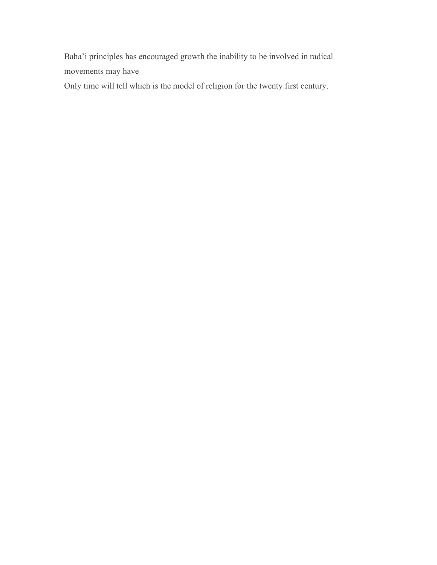Baha'i principles has encouraged growth the inability to be involved in radical movements may have

Only time will tell which is the model of religion for the twenty first century.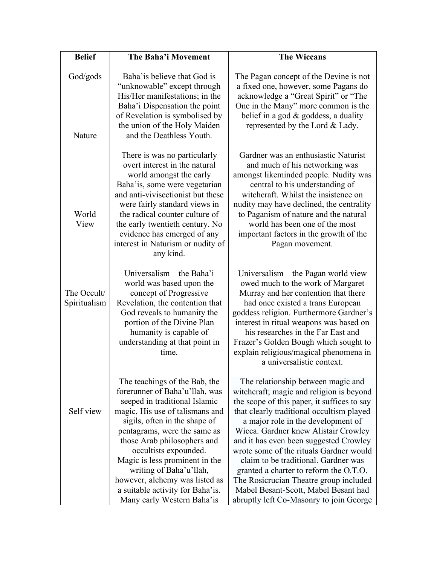| <b>Belief</b>               | The Baha'i Movement                                                                                                                                                                                                                                                                                                                                                                                                           | <b>The Wiccans</b>                                                                                                                                                                                                                                                                                                                                                                                                                                                                                                                                           |
|-----------------------------|-------------------------------------------------------------------------------------------------------------------------------------------------------------------------------------------------------------------------------------------------------------------------------------------------------------------------------------------------------------------------------------------------------------------------------|--------------------------------------------------------------------------------------------------------------------------------------------------------------------------------------------------------------------------------------------------------------------------------------------------------------------------------------------------------------------------------------------------------------------------------------------------------------------------------------------------------------------------------------------------------------|
| God/gods<br>Nature          | Baha' is believe that God is<br>"unknowable" except through<br>His/Her manifestations; in the<br>Baha'i Dispensation the point<br>of Revelation is symbolised by<br>the union of the Holy Maiden<br>and the Deathless Youth.                                                                                                                                                                                                  | The Pagan concept of the Devine is not<br>a fixed one, however, some Pagans do<br>acknowledge a "Great Spirit" or "The<br>One in the Many" more common is the<br>belief in a god $&$ goddess, a duality<br>represented by the Lord & Lady.                                                                                                                                                                                                                                                                                                                   |
| World<br>View               | There is was no particularly<br>overt interest in the natural<br>world amongst the early<br>Baha'is, some were vegetarian<br>and anti-vivisectionist but these<br>were fairly standard views in<br>the radical counter culture of<br>the early twentieth century. No<br>evidence has emerged of any<br>interest in Naturism or nudity of<br>any kind.                                                                         | Gardner was an enthusiastic Naturist<br>and much of his networking was<br>amongst likeminded people. Nudity was<br>central to his understanding of<br>witchcraft. Whilst the insistence on<br>nudity may have declined, the centrality<br>to Paganism of nature and the natural<br>world has been one of the most<br>important factors in the growth of the<br>Pagan movement.                                                                                                                                                                               |
| The Occult/<br>Spiritualism | Universalism – the Baha'i<br>world was based upon the<br>concept of Progressive<br>Revelation, the contention that<br>God reveals to humanity the<br>portion of the Divine Plan<br>humanity is capable of<br>understanding at that point in<br>time.                                                                                                                                                                          | Universalism $-$ the Pagan world view<br>owed much to the work of Margaret<br>Murray and her contention that there<br>had once existed a trans European<br>goddess religion. Furthermore Gardner's<br>interest in ritual weapons was based on<br>his researches in the Far East and<br>Frazer's Golden Bough which sought to<br>explain religious/magical phenomena in<br>a universalistic context.                                                                                                                                                          |
| Self view                   | The teachings of the Bab, the<br>forerunner of Baha'u'llah, was<br>seeped in traditional Islamic<br>magic, His use of talismans and<br>sigils, often in the shape of<br>pentagrams, were the same as<br>those Arab philosophers and<br>occultists expounded.<br>Magic is less prominent in the<br>writing of Baha'u'llah,<br>however, alchemy was listed as<br>a suitable activity for Baha'is.<br>Many early Western Baha'is | The relationship between magic and<br>witchcraft; magic and religion is beyond<br>the scope of this paper, it suffices to say<br>that clearly traditional occultism played<br>a major role in the development of<br>Wicca. Gardner knew Alistair Crowley<br>and it has even been suggested Crowley<br>wrote some of the rituals Gardner would<br>claim to be traditional. Gardner was<br>granted a charter to reform the O.T.O.<br>The Rosicrucian Theatre group included<br>Mabel Besant-Scott, Mabel Besant had<br>abruptly left Co-Masonry to join George |